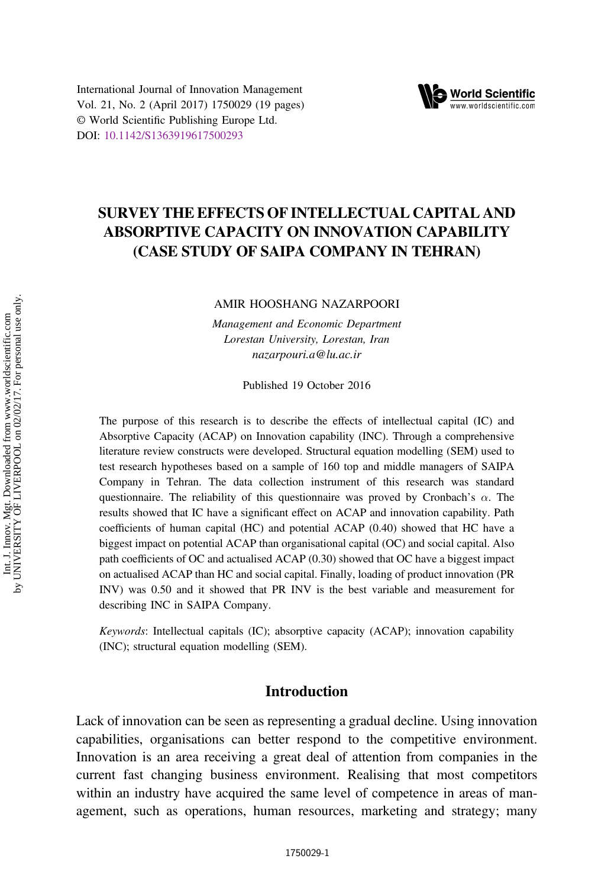



# SURVEY THE EFFECTS OF INTELLECTUAL CAPITAL AND ABSORPTIVE CAPACITY ON INNOVATION CAPABILITY (CASE STUDY OF SAIPA COMPANY IN TEHRAN)

AMIR HOOSHANG NAZARPOORI

Management and Economic Department Lorestan University, Lorestan, Iran nazarpouri.a@lu.ac.ir

Published 19 October 2016

The purpose of this research is to describe the effects of intellectual capital (IC) and Absorptive Capacity (ACAP) on Innovation capability (INC). Through a comprehensive literature review constructs were developed. Structural equation modelling (SEM) used to test research hypotheses based on a sample of 160 top and middle managers of SAIPA Company in Tehran. The data collection instrument of this research was standard questionnaire. The reliability of this questionnaire was proved by Cronbach's  $\alpha$ . The results showed that IC have a significant effect on ACAP and innovation capability. Path coefficients of human capital (HC) and potential ACAP (0.40) showed that HC have a biggest impact on potential ACAP than organisational capital (OC) and social capital. Also path coefficients of OC and actualised ACAP (0.30) showed that OC have a biggest impact on actualised ACAP than HC and social capital. Finally, loading of product innovation (PR INV) was 0.50 and it showed that PR INV is the best variable and measurement for describing INC in SAIPA Company.

Keywords: Intellectual capitals (IC); absorptive capacity (ACAP); innovation capability (INC); structural equation modelling (SEM).

## Introduction

Lack of innovation can be seen as representing a gradual decline. Using innovation capabilities, organisations can better respond to the competitive environment. Innovation is an area receiving a great deal of attention from companies in the current fast changing business environment. Realising that most competitors within an industry have acquired the same level of competence in areas of management, such as operations, human resources, marketing and strategy; many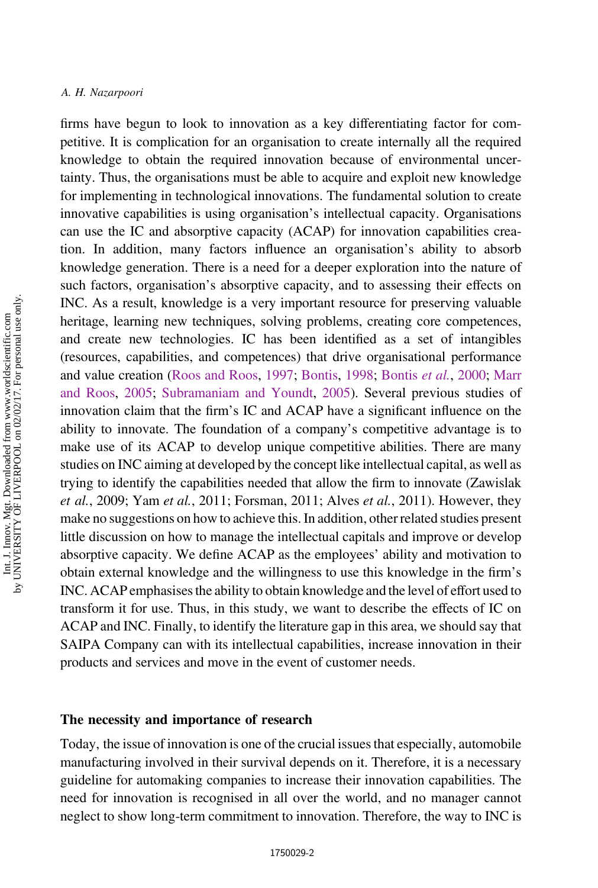firms have begun to look to innovation as a key differentiating factor for competitive. It is complication for an organisation to create internally all the required knowledge to obtain the required innovation because of environmental uncertainty. Thus, the organisations must be able to acquire and exploit new knowledge for implementing in technological innovations. The fundamental solution to create innovative capabilities is using organisation's intellectual capacity. Organisations can use the IC and absorptive capacity (ACAP) for innovation capabilities creation. In addition, many factors influence an organisation's ability to absorb knowledge generation. There is a need for a deeper exploration into the nature of such factors, organisation's absorptive capacity, and to assessing their effects on INC. As a result, knowledge is a very important resource for preserving valuable heritage, learning new techniques, solving problems, creating core competences, and create new technologies. IC has been identified as a set of intangibles (resources, capabilities, and competences) that drive organisational performance and value creation ([Roos and Roos,](#page-17-0) [1997](#page-17-0); [Bontis,](#page-16-0) [1998](#page-16-0); [Bontis](#page-16-0) et al., [2000;](#page-16-0) [Marr](#page-17-0) [and Roos](#page-17-0), [2005;](#page-17-0) [Subramaniam and Youndt](#page-17-0), [2005\)](#page-17-0). Several previous studies of innovation claim that the firm's IC and ACAP have a significant influence on the ability to innovate. The foundation of a company's competitive advantage is to make use of its ACAP to develop unique competitive abilities. There are many studies on INC aiming at developed by the concept like intellectual capital, as well as trying to identify the capabilities needed that allow the firm to innovate (Zawislak et al., 2009; Yam et al., 2011; Forsman, 2011; Alves et al., 2011). However, they make no suggestions on how to achieve this. In addition, other related studies present little discussion on how to manage the intellectual capitals and improve or develop absorptive capacity. We define ACAP as the employees' ability and motivation to obtain external knowledge and the willingness to use this knowledge in the firm's INC. ACAP emphasises the ability to obtain knowledge and the level of effort used to transform it for use. Thus, in this study, we want to describe the effects of IC on ACAP and INC. Finally, to identify the literature gap in this area, we should say that SAIPA Company can with its intellectual capabilities, increase innovation in their products and services and move in the event of customer needs.

### The necessity and importance of research

Today, the issue of innovation is one of the crucial issues that especially, automobile manufacturing involved in their survival depends on it. Therefore, it is a necessary guideline for automaking companies to increase their innovation capabilities. The need for innovation is recognised in all over the world, and no manager cannot neglect to show long-term commitment to innovation. Therefore, the way to INC is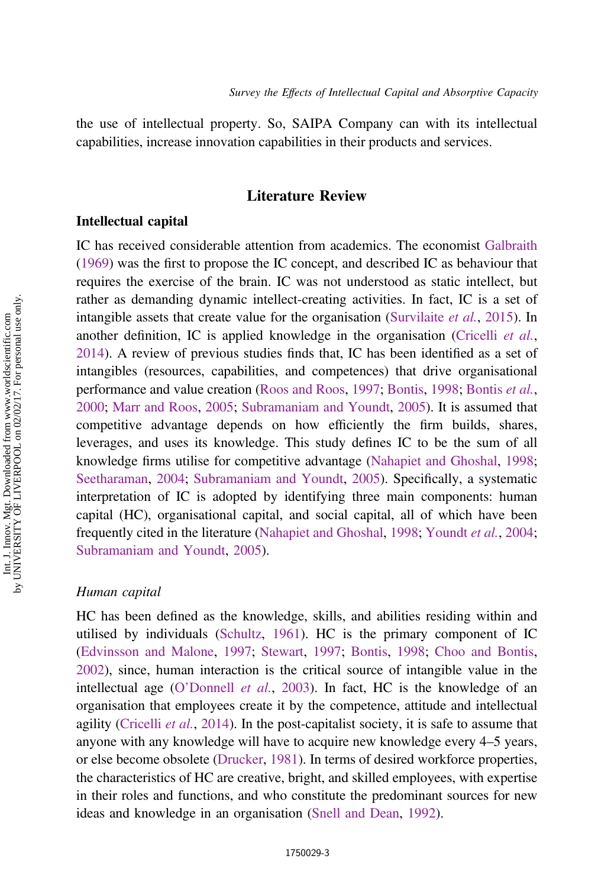the use of intellectual property. So, SAIPA Company can with its intellectual capabilities, increase innovation capabilities in their products and services.

## Literature Review

## Intellectual capital

IC has received considerable attention from academics. The economist [Galbraith](#page-16-0) ([1969\)](#page-16-0) was the first to propose the IC concept, and described IC as behaviour that requires the exercise of the brain. IC was not understood as static intellect, but rather as demanding dynamic intellect-creating activities. In fact, IC is a set of intangible assets that create value for the organisation [\(Survilaite](#page-17-0) *et al.*, [2015](#page-17-0)). In another definition, IC is applied knowledge in the organisation ([Cricelli](#page-16-0) *et al.*, [2014](#page-16-0)). A review of previous studies finds that, IC has been identified as a set of intangibles (resources, capabilities, and competences) that drive organisational performance and value creation [\(Roos and Roos](#page-17-0), [1997](#page-17-0); [Bontis,](#page-16-0) [1998;](#page-16-0) [Bontis](#page-16-0) et al., [2000](#page-16-0); [Marr and Roos,](#page-17-0) [2005;](#page-17-0) [Subramaniam and Youndt](#page-17-0), [2005](#page-17-0)). It is assumed that competitive advantage depends on how efficiently the firm builds, shares, leverages, and uses its knowledge. This study defines IC to be the sum of all knowledge firms utilise for competitive advantage [\(Nahapiet and Ghoshal,](#page-17-0) [1998;](#page-17-0) [Seetharaman](#page-17-0), [2004;](#page-17-0) [Subramaniam and Youndt](#page-17-0), [2005\)](#page-17-0). Specifically, a systematic interpretation of IC is adopted by identifying three main components: human capital (HC), organisational capital, and social capital, all of which have been frequently cited in the literature ([Nahapiet and Ghoshal](#page-17-0), [1998](#page-17-0); [Youndt](#page-18-0) et al., [2004;](#page-18-0) [Subramaniam and Youndt](#page-17-0), [2005](#page-17-0)).

#### Human capital

HC has been defined as the knowledge, skills, and abilities residing within and utilised by individuals ([Schultz](#page-17-0), [1961\)](#page-17-0). HC is the primary component of IC ([Edvinsson and Malone](#page-16-0), [1997;](#page-16-0) [Stewart](#page-17-0), [1997](#page-17-0); [Bontis](#page-16-0), [1998;](#page-16-0) [Choo and Bontis](#page-16-0), [2002](#page-16-0)), since, human interaction is the critical source of intangible value in the intellectual age (O'[Donnell](#page-17-0) *et al.*, [2003\)](#page-17-0). In fact, HC is the knowledge of an organisation that employees create it by the competence, attitude and intellectual agility [\(Cricelli](#page-16-0) *et al.*, [2014](#page-16-0)). In the post-capitalist society, it is safe to assume that anyone with any knowledge will have to acquire new knowledge every 4–5 years, or else become obsolete [\(Drucker,](#page-16-0) [1981\)](#page-16-0). In terms of desired workforce properties, the characteristics of HC are creative, bright, and skilled employees, with expertise in their roles and functions, and who constitute the predominant sources for new ideas and knowledge in an organisation ([Snell and Dean,](#page-17-0) [1992\)](#page-17-0).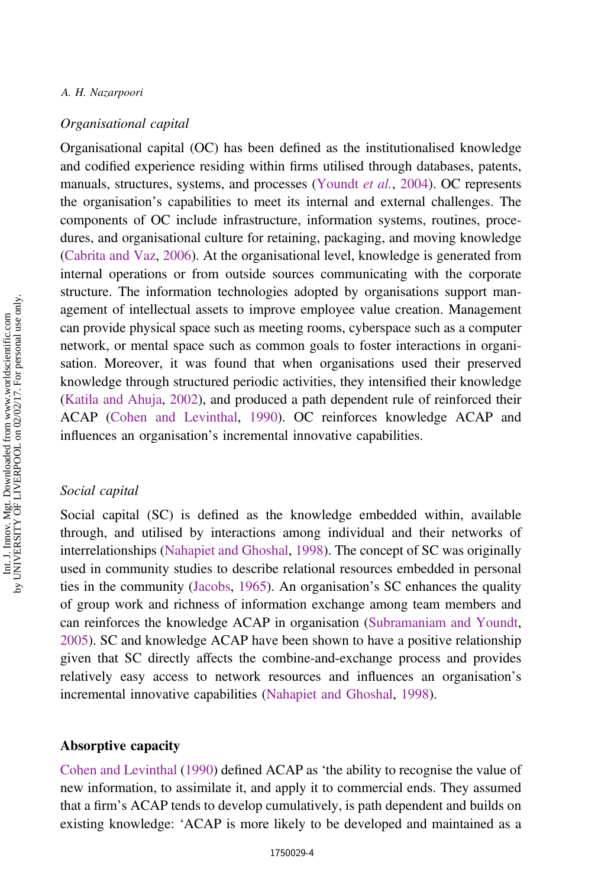#### Organisational capital

Organisational capital (OC) has been defined as the institutionalised knowledge and codified experience residing within firms utilised through databases, patents, manuals, structures, systems, and processes [\(Youndt](#page-18-0) et al., [2004](#page-18-0)). OC represents the organisation's capabilities to meet its internal and external challenges. The components of OC include infrastructure, information systems, routines, procedures, and organisational culture for retaining, packaging, and moving knowledge [\(Cabrita and Vaz](#page-16-0), [2006\)](#page-16-0). At the organisational level, knowledge is generated from internal operations or from outside sources communicating with the corporate structure. The information technologies adopted by organisations support management of intellectual assets to improve employee value creation. Management can provide physical space such as meeting rooms, cyberspace such as a computer network, or mental space such as common goals to foster interactions in organisation. Moreover, it was found that when organisations used their preserved knowledge through structured periodic activities, they intensified their knowledge [\(Katila and Ahuja,](#page-16-0) [2002\)](#page-16-0), and produced a path dependent rule of reinforced their ACAP ([Cohen and Levinthal,](#page-16-0) [1990\)](#page-16-0). OC reinforces knowledge ACAP and influences an organisation's incremental innovative capabilities.

## Social capital

Social capital (SC) is defined as the knowledge embedded within, available through, and utilised by interactions among individual and their networks of interrelationships ([Nahapiet and Ghoshal](#page-17-0), [1998\)](#page-17-0). The concept of SC was originally used in community studies to describe relational resources embedded in personal ties in the community [\(Jacobs](#page-16-0), [1965](#page-16-0)). An organisation's SC enhances the quality of group work and richness of information exchange among team members and can reinforces the knowledge ACAP in organisation ([Subramaniam and Youndt,](#page-17-0) [2005\)](#page-17-0). SC and knowledge ACAP have been shown to have a positive relationship given that SC directly affects the combine-and-exchange process and provides relatively easy access to network resources and influences an organisation's incremental innovative capabilities [\(Nahapiet and Ghoshal](#page-17-0), [1998\)](#page-17-0).

#### Absorptive capacity

[Cohen and Levinthal](#page-16-0) ([1990\)](#page-16-0) defined ACAP as 'the ability to recognise the value of new information, to assimilate it, and apply it to commercial ends. They assumed that a firm's ACAP tends to develop cumulatively, is path dependent and builds on existing knowledge: 'ACAP is more likely to be developed and maintained as a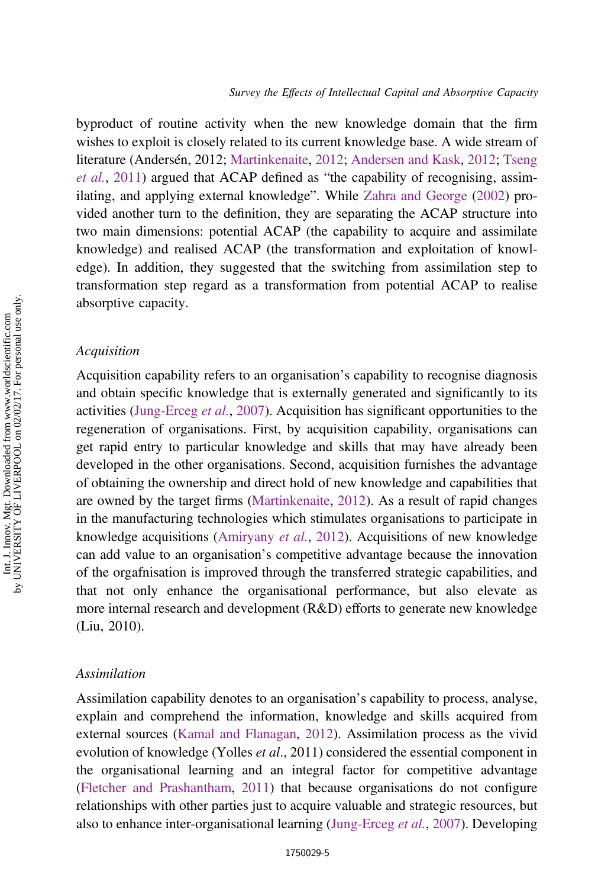byproduct of routine activity when the new knowledge domain that the firm wishes to exploit is closely related to its current knowledge base. A wide stream of literature (Andersén, 2012; [Martinkenaite,](#page-17-0) [2012](#page-17-0); [Andersen and Kask](#page-15-0), [2012;](#page-15-0) [Tseng](#page-18-0) [et al.](#page-18-0), [2011](#page-18-0)) argued that ACAP defined as "the capability of recognising, assimilating, and applying external knowledge". While [Zahra and George](#page-18-0) ([2002\)](#page-18-0) provided another turn to the definition, they are separating the ACAP structure into two main dimensions: potential ACAP (the capability to acquire and assimilate knowledge) and realised ACAP (the transformation and exploitation of knowledge). In addition, they suggested that the switching from assimilation step to transformation step regard as a transformation from potential ACAP to realise absorptive capacity.

### **Acquisition**

Acquisition capability refers to an organisation's capability to recognise diagnosis and obtain specific knowledge that is externally generated and significantly to its activities [\(Jung-Erceg](#page-16-0) et al., [2007\)](#page-16-0). Acquisition has significant opportunities to the regeneration of organisations. First, by acquisition capability, organisations can get rapid entry to particular knowledge and skills that may have already been developed in the other organisations. Second, acquisition furnishes the advantage of obtaining the ownership and direct hold of new knowledge and capabilities that are owned by the target firms ([Martinkenaite,](#page-17-0) [2012\)](#page-17-0). As a result of rapid changes in the manufacturing technologies which stimulates organisations to participate in knowledge acquisitions [\(Amiryany](#page-15-0) et al., [2012\)](#page-15-0). Acquisitions of new knowledge can add value to an organisation's competitive advantage because the innovation of the orgafnisation is improved through the transferred strategic capabilities, and that not only enhance the organisational performance, but also elevate as more internal research and development (R&D) efforts to generate new knowledge (Liu, 2010).

## Assimilation

Assimilation capability denotes to an organisation's capability to process, analyse, explain and comprehend the information, knowledge and skills acquired from external sources [\(Kamal and Flanagan,](#page-16-0) [2012](#page-16-0)). Assimilation process as the vivid evolution of knowledge (Yolles *et al.*, 2011) considered the essential component in the organisational learning and an integral factor for competitive advantage ([Fletcher and Prashantham,](#page-16-0) [2011\)](#page-16-0) that because organisations do not configure relationships with other parties just to acquire valuable and strategic resources, but also to enhance inter-organisational learning [\(Jung-Erceg](#page-16-0) et al., [2007](#page-16-0)). Developing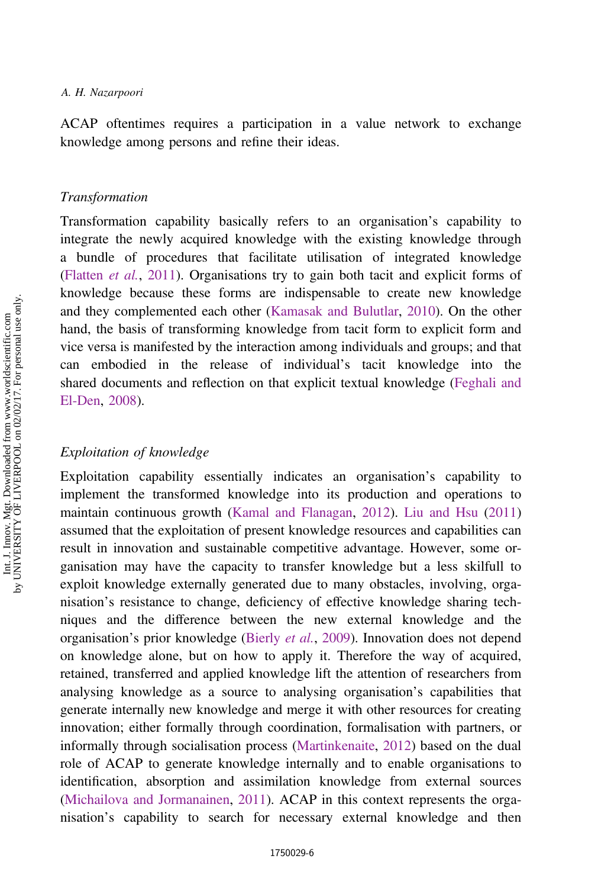ACAP oftentimes requires a participation in a value network to exchange knowledge among persons and refine their ideas.

#### Transformation

Transformation capability basically refers to an organisation's capability to integrate the newly acquired knowledge with the existing knowledge through a bundle of procedures that facilitate utilisation of integrated knowledge [\(Flatten](#page-16-0) et al., [2011\)](#page-16-0). Organisations try to gain both tacit and explicit forms of knowledge because these forms are indispensable to create new knowledge and they complemented each other ([Kamasak and Bulutlar,](#page-16-0) [2010\)](#page-16-0). On the other hand, the basis of transforming knowledge from tacit form to explicit form and vice versa is manifested by the interaction among individuals and groups; and that can embodied in the release of individual's tacit knowledge into the shared documents and reflection on that explicit textual knowledge [\(Feghali and](#page-16-0) [El-Den](#page-16-0), [2008](#page-16-0)).

## Exploitation of knowledge

Exploitation capability essentially indicates an organisation's capability to implement the transformed knowledge into its production and operations to maintain continuous growth ([Kamal and Flanagan](#page-16-0), [2012](#page-16-0)). [Liu and Hsu](#page-17-0) [\(2011\)](#page-17-0) assumed that the exploitation of present knowledge resources and capabilities can result in innovation and sustainable competitive advantage. However, some organisation may have the capacity to transfer knowledge but a less skilfull to exploit knowledge externally generated due to many obstacles, involving, organisation's resistance to change, deficiency of effective knowledge sharing techniques and the difference between the new external knowledge and the organisation's prior knowledge [\(Bierly](#page-15-0) et al., [2009](#page-15-0)). Innovation does not depend on knowledge alone, but on how to apply it. Therefore the way of acquired, retained, transferred and applied knowledge lift the attention of researchers from analysing knowledge as a source to analysing organisation's capabilities that generate internally new knowledge and merge it with other resources for creating innovation; either formally through coordination, formalisation with partners, or informally through socialisation process ([Martinkenaite,](#page-17-0) [2012\)](#page-17-0) based on the dual role of ACAP to generate knowledge internally and to enable organisations to identification, absorption and assimilation knowledge from external sources [\(Michailova and Jormanainen,](#page-17-0) [2011](#page-17-0)). ACAP in this context represents the organisation's capability to search for necessary external knowledge and then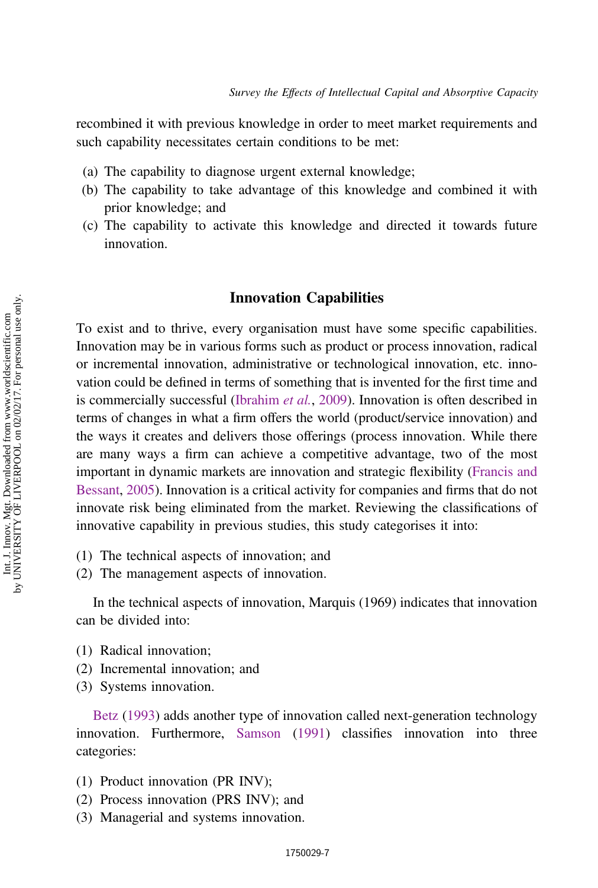recombined it with previous knowledge in order to meet market requirements and such capability necessitates certain conditions to be met:

- (a) The capability to diagnose urgent external knowledge;
- (b) The capability to take advantage of this knowledge and combined it with prior knowledge; and
- (c) The capability to activate this knowledge and directed it towards future innovation.

## Innovation Capabilities

To exist and to thrive, every organisation must have some specific capabilities. Innovation may be in various forms such as product or process innovation, radical or incremental innovation, administrative or technological innovation, etc. innovation could be defined in terms of something that is invented for the first time and is commercially successful [\(Ibrahim](#page-16-0) et al., [2009\)](#page-16-0). Innovation is often described in terms of changes in what a firm offers the world (product/service innovation) and the ways it creates and delivers those offerings (process innovation. While there are many ways a firm can achieve a competitive advantage, two of the most important in dynamic markets are innovation and strategic flexibility [\(Francis and](#page-16-0) [Bessant](#page-16-0), [2005](#page-16-0)). Innovation is a critical activity for companies and firms that do not innovate risk being eliminated from the market. Reviewing the classifications of innovative capability in previous studies, this study categorises it into:

- (1) The technical aspects of innovation; and
- (2) The management aspects of innovation.

In the technical aspects of innovation, Marquis (1969) indicates that innovation can be divided into:

- (1) Radical innovation;
- (2) Incremental innovation; and
- (3) Systems innovation.

[Betz](#page-15-0) ([1993\)](#page-15-0) adds another type of innovation called next-generation technology innovation. Furthermore, [Samson](#page-17-0) [\(1991](#page-17-0)) classifies innovation into three categories:

- (1) Product innovation (PR INV);
- (2) Process innovation (PRS INV); and
- (3) Managerial and systems innovation.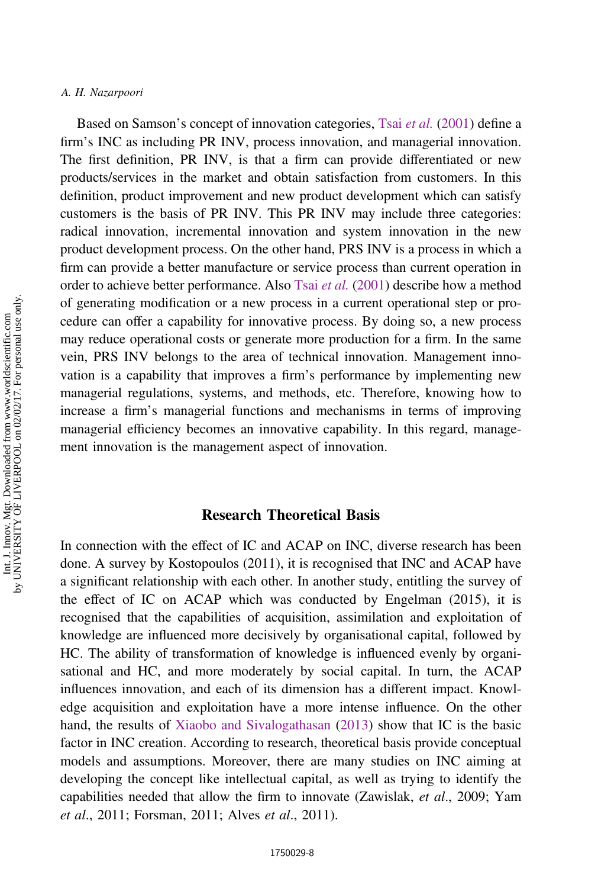Based on Samson's concept of innovation categories, Tsai [et al.](#page-18-0) [\(2001](#page-18-0)) define a firm's INC as including PR INV, process innovation, and managerial innovation. The first definition, PR INV, is that a firm can provide differentiated or new products/services in the market and obtain satisfaction from customers. In this definition, product improvement and new product development which can satisfy customers is the basis of PR INV. This PR INV may include three categories: radical innovation, incremental innovation and system innovation in the new product development process. On the other hand, PRS INV is a process in which a firm can provide a better manufacture or service process than current operation in order to achieve better performance. Also Tsai [et al.](#page-18-0) ([2001](#page-18-0)) describe how a method of generating modification or a new process in a current operational step or procedure can offer a capability for innovative process. By doing so, a new process may reduce operational costs or generate more production for a firm. In the same vein, PRS INV belongs to the area of technical innovation. Management innovation is a capability that improves a firm's performance by implementing new managerial regulations, systems, and methods, etc. Therefore, knowing how to increase a firm's managerial functions and mechanisms in terms of improving managerial efficiency becomes an innovative capability. In this regard, management innovation is the management aspect of innovation.

## Research Theoretical Basis

In connection with the effect of IC and ACAP on INC, diverse research has been done. A survey by Kostopoulos (2011), it is recognised that INC and ACAP have a significant relationship with each other. In another study, entitling the survey of the effect of IC on ACAP which was conducted by Engelman (2015), it is recognised that the capabilities of acquisition, assimilation and exploitation of knowledge are influenced more decisively by organisational capital, followed by HC. The ability of transformation of knowledge is influenced evenly by organisational and HC, and more moderately by social capital. In turn, the ACAP influences innovation, and each of its dimension has a different impact. Knowledge acquisition and exploitation have a more intense influence. On the other hand, the results of [Xiaobo and Sivalogathasan](#page-18-0) ([2013\)](#page-18-0) show that IC is the basic factor in INC creation. According to research, theoretical basis provide conceptual models and assumptions. Moreover, there are many studies on INC aiming at developing the concept like intellectual capital, as well as trying to identify the capabilities needed that allow the firm to innovate (Zawislak, et al., 2009; Yam et al., 2011; Forsman, 2011; Alves et al., 2011).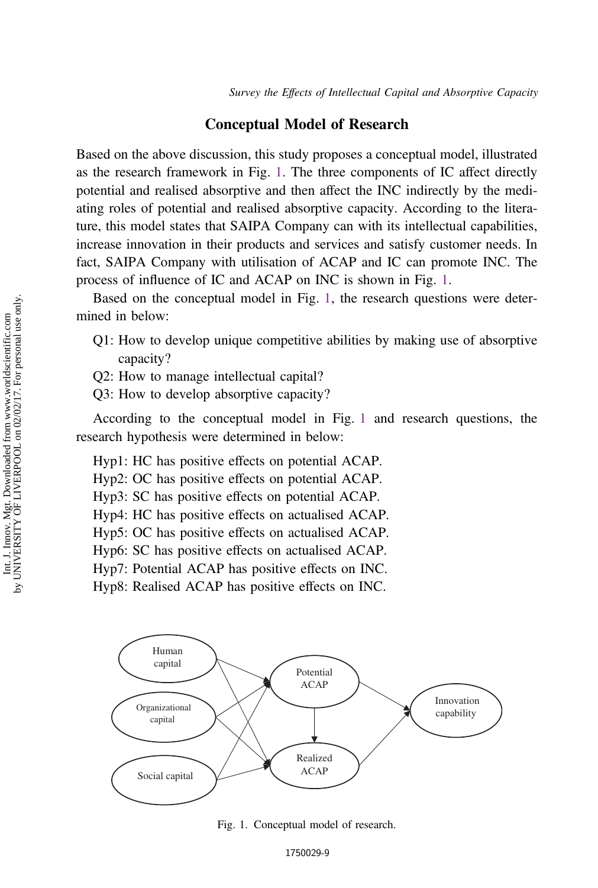## Conceptual Model of Research

Based on the above discussion, this study proposes a conceptual model, illustrated as the research framework in Fig. 1. The three components of IC affect directly potential and realised absorptive and then affect the INC indirectly by the mediating roles of potential and realised absorptive capacity. According to the literature, this model states that SAIPA Company can with its intellectual capabilities, increase innovation in their products and services and satisfy customer needs. In fact, SAIPA Company with utilisation of ACAP and IC can promote INC. The process of influence of IC and ACAP on INC is shown in Fig. 1.

Based on the conceptual model in Fig. 1, the research questions were determined in below:

- Q1: How to develop unique competitive abilities by making use of absorptive capacity?
- Q2: How to manage intellectual capital?
- Q3: How to develop absorptive capacity?

According to the conceptual model in Fig. 1 and research questions, the research hypothesis were determined in below:

Hyp1: HC has positive effects on potential ACAP.

- Hyp2: OC has positive effects on potential ACAP.
- Hyp3: SC has positive effects on potential ACAP.

Hyp4: HC has positive effects on actualised ACAP.

Hyp5: OC has positive effects on actualised ACAP.

Hyp6: SC has positive effects on actualised ACAP.

Hyp7: Potential ACAP has positive effects on INC.

Hyp8: Realised ACAP has positive effects on INC.



Fig. 1. Conceptual model of research.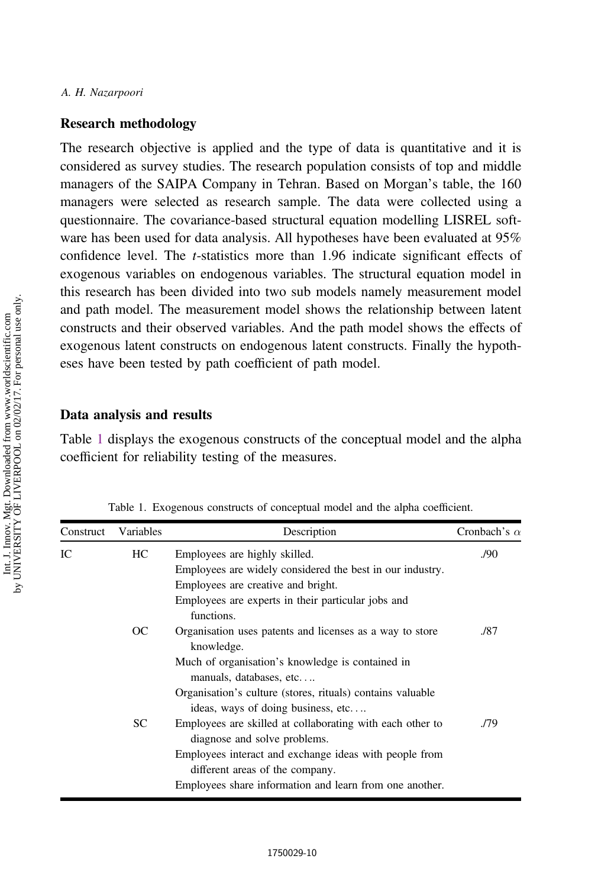### <span id="page-9-0"></span>Research methodology

The research objective is applied and the type of data is quantitative and it is considered as survey studies. The research population consists of top and middle managers of the SAIPA Company in Tehran. Based on Morgan's table, the 160 managers were selected as research sample. The data were collected using a questionnaire. The covariance-based structural equation modelling LISREL software has been used for data analysis. All hypotheses have been evaluated at 95% confidence level. The t-statistics more than 1.96 indicate significant effects of exogenous variables on endogenous variables. The structural equation model in this research has been divided into two sub models namely measurement model and path model. The measurement model shows the relationship between latent constructs and their observed variables. And the path model shows the effects of exogenous latent constructs on endogenous latent constructs. Finally the hypotheses have been tested by path coefficient of path model.

### Data analysis and results

Table 1 displays the exogenous constructs of the conceptual model and the alpha coefficient for reliability testing of the measures.

| Construct | Variables | Description                                                                                      | Cronbach's $\alpha$ |
|-----------|-----------|--------------------------------------------------------------------------------------------------|---------------------|
| IС        | HC.       | Employees are highly skilled.                                                                    | ./90                |
|           |           | Employees are widely considered the best in our industry.                                        |                     |
|           |           | Employees are creative and bright.                                                               |                     |
|           |           | Employees are experts in their particular jobs and<br>functions.                                 |                     |
|           | OC        | Organisation uses patents and licenses as a way to store<br>knowledge.                           | ./87                |
|           |           | Much of organisation's knowledge is contained in<br>manuals, databases, etc                      |                     |
|           |           | Organisation's culture (stores, rituals) contains valuable<br>ideas, ways of doing business, etc |                     |
|           | <b>SC</b> | Employees are skilled at collaborating with each other to<br>diagnose and solve problems.        | ./79                |
|           |           | Employees interact and exchange ideas with people from<br>different areas of the company.        |                     |
|           |           | Employees share information and learn from one another.                                          |                     |
|           |           |                                                                                                  |                     |

Table 1. Exogenous constructs of conceptual model and the alpha coefficient.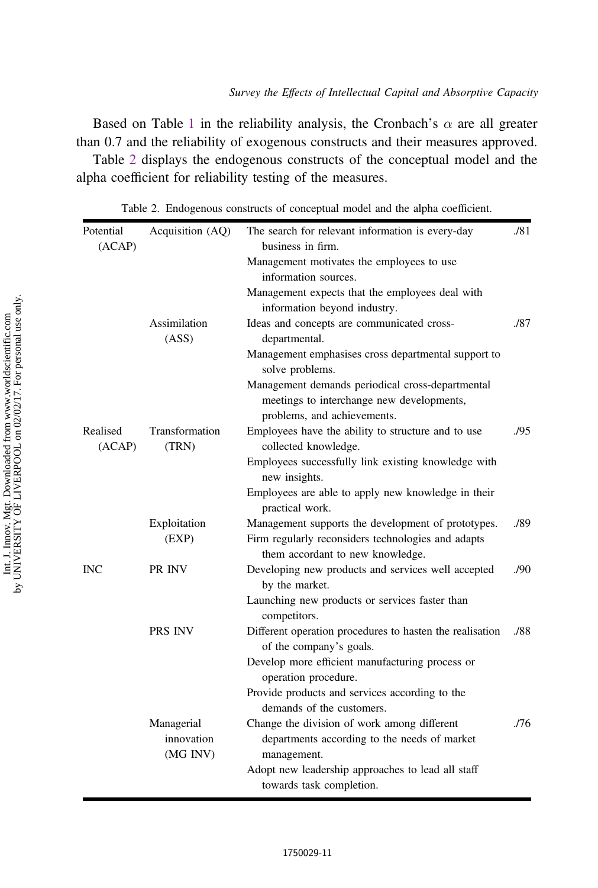<span id="page-10-0"></span>Based on Table [1](#page-9-0) in the reliability analysis, the Cronbach's  $\alpha$  are all greater than 0.7 and the reliability of exogenous constructs and their measures approved.

Table 2 displays the endogenous constructs of the conceptual model and the alpha coefficient for reliability testing of the measures.

| Potential<br>(ACAP) | Acquisition (AQ)       | The search for relevant information is every-day<br>business in firm.                  |                  |
|---------------------|------------------------|----------------------------------------------------------------------------------------|------------------|
|                     |                        | Management motivates the employees to use                                              |                  |
|                     |                        | information sources.                                                                   |                  |
|                     |                        | Management expects that the employees deal with<br>information beyond industry.        |                  |
|                     | Assimilation           | Ideas and concepts are communicated cross-                                             | ./87             |
|                     | (ASS)                  | departmental.                                                                          |                  |
|                     |                        | Management emphasises cross departmental support to<br>solve problems.                 |                  |
|                     |                        | Management demands periodical cross-departmental                                       |                  |
|                     |                        | meetings to interchange new developments,<br>problems, and achievements.               |                  |
| Realised            | Transformation         | Employees have the ability to structure and to use                                     | ./95             |
| (ACAP)              | (TRN)                  | collected knowledge.                                                                   |                  |
|                     |                        | Employees successfully link existing knowledge with<br>new insights.                   |                  |
|                     |                        | Employees are able to apply new knowledge in their<br>practical work.                  |                  |
|                     | Exploitation           | Management supports the development of prototypes.                                     | ./89             |
|                     | (EXP)                  | Firm regularly reconsiders technologies and adapts<br>them accordant to new knowledge. |                  |
| <b>INC</b>          | PR INV                 | Developing new products and services well accepted<br>by the market.                   | .90 <sub>1</sub> |
|                     |                        | Launching new products or services faster than<br>competitors.                         |                  |
|                     | <b>PRS INV</b>         | Different operation procedures to hasten the realisation<br>of the company's goals.    | ./88             |
|                     |                        | Develop more efficient manufacturing process or<br>operation procedure.                |                  |
|                     |                        | Provide products and services according to the<br>demands of the customers.            |                  |
|                     | Managerial             | Change the division of work among different                                            | ./76             |
|                     | innovation<br>(MG INV) | departments according to the needs of market<br>management.                            |                  |
|                     |                        | Adopt new leadership approaches to lead all staff<br>towards task completion.          |                  |

Table 2. Endogenous constructs of conceptual model and the alpha coefficient.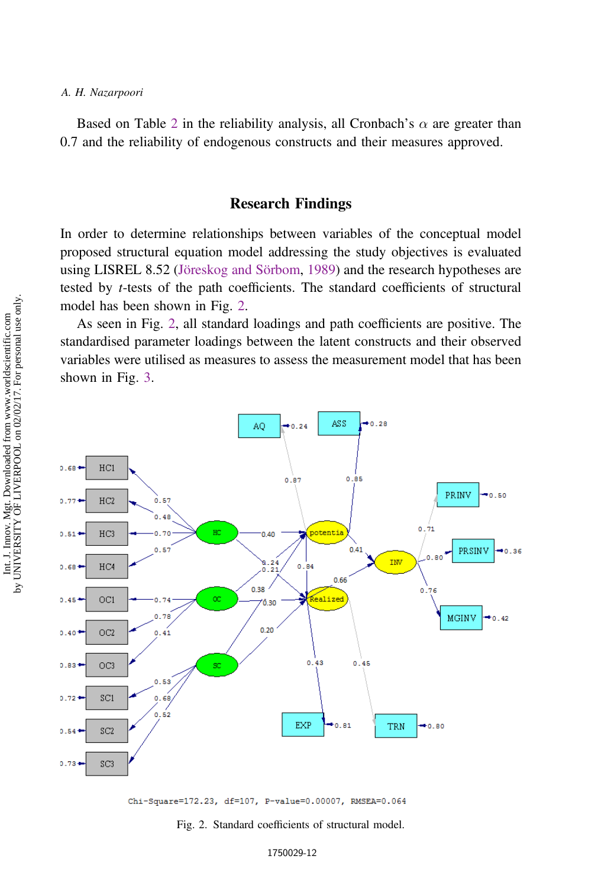<span id="page-11-0"></span>Based on Table [2](#page-10-0) in the reliability analysis, all Cronbach's  $\alpha$  are greater than 0.7 and the reliability of endogenous constructs and their measures approved.

## Research Findings

In order to determine relationships between variables of the conceptual model proposed structural equation model addressing the study objectives is evaluated using LISREL 8.52 ([Jöreskog and Sörbom](#page-16-0), [1989\)](#page-16-0) and the research hypotheses are tested by t-tests of the path coefficients. The standard coefficients of structural model has been shown in Fig. 2.

As seen in Fig. 2, all standard loadings and path coefficients are positive. The standardised parameter loadings between the latent constructs and their observed variables were utilised as measures to assess the measurement model that has been shown in Fig. [3](#page-12-0).





Fig. 2. Standard coefficients of structural model.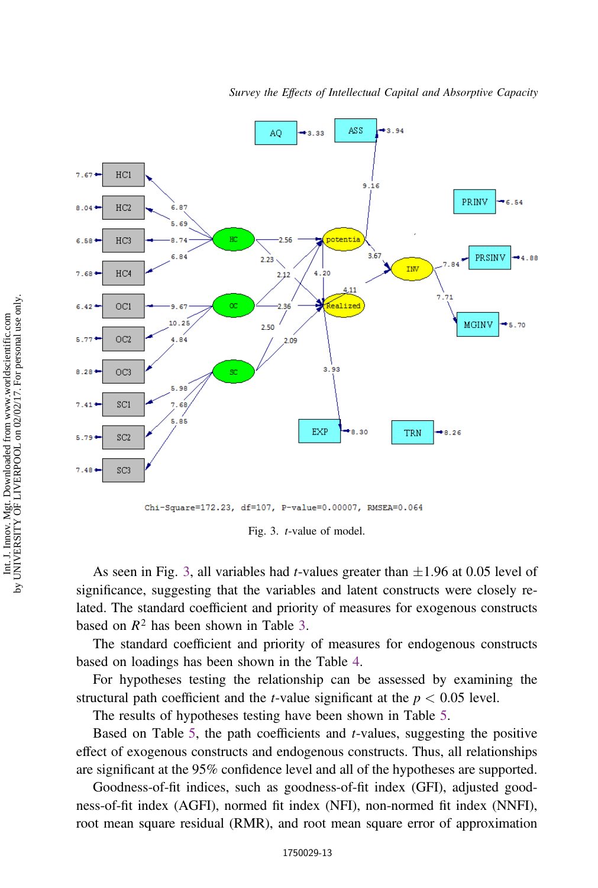<span id="page-12-0"></span>

Chi-Square=172.23, df=107, P-value=0.00007, RMSEA=0.064

Fig. 3. t-value of model.

As seen in Fig. 3, all variables had *t*-values greater than  $\pm 1.96$  at 0.05 level of significance, suggesting that the variables and latent constructs were closely related. The standard coefficient and priority of measures for exogenous constructs based on  $R^2$  has been shown in Table [3.](#page-13-0)

The standard coefficient and priority of measures for endogenous constructs based on loadings has been shown in the Table [4.](#page-13-0)

For hypotheses testing the relationship can be assessed by examining the structural path coefficient and the *t*-value significant at the  $p < 0.05$  level.

The results of hypotheses testing have been shown in Table [5.](#page-14-0)

Based on Table [5](#page-14-0), the path coefficients and t-values, suggesting the positive effect of exogenous constructs and endogenous constructs. Thus, all relationships are significant at the 95% confidence level and all of the hypotheses are supported.

Goodness-of-fit indices, such as goodness-of-fit index (GFI), adjusted goodness-of-fit index (AGFI), normed fit index (NFI), non-normed fit index (NNFI), root mean square residual (RMR), and root mean square error of approximation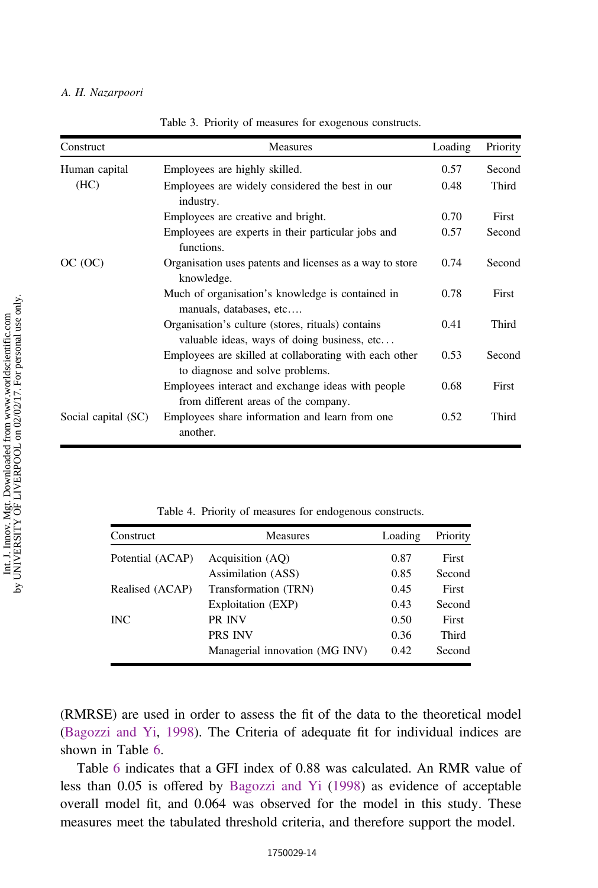<span id="page-13-0"></span>

| Construct           | <b>Measures</b>                                                                                  | Loading | Priority |
|---------------------|--------------------------------------------------------------------------------------------------|---------|----------|
| Human capital       | Employees are highly skilled.                                                                    | 0.57    | Second   |
| (HC)                | Employees are widely considered the best in our<br>industry.                                     | 0.48    | Third    |
|                     | Employees are creative and bright.                                                               | 0.70    | First    |
|                     | Employees are experts in their particular jobs and<br>functions.                                 | 0.57    | Second   |
| OC(OC)              | Organisation uses patents and licenses as a way to store<br>knowledge.                           | 0.74    | Second   |
|                     | Much of organisation's knowledge is contained in<br>manuals, databases, etc                      | 0.78    | First    |
|                     | Organisation's culture (stores, rituals) contains<br>valuable ideas, ways of doing business, etc | 0.41    | Third    |
|                     | Employees are skilled at collaborating with each other<br>to diagnose and solve problems.        | 0.53    | Second   |
|                     | Employees interact and exchange ideas with people<br>from different areas of the company.        | 0.68    | First    |
| Social capital (SC) | Employees share information and learn from one.<br>another.                                      | 0.52    | Third    |

Table 3. Priority of measures for exogenous constructs.

Table 4. Priority of measures for endogenous constructs.

| Construct        | <b>Measures</b>                | Loading | Priority |
|------------------|--------------------------------|---------|----------|
| Potential (ACAP) | Acquisition (AO)               | 0.87    | First    |
|                  | Assimilation (ASS)             | 0.85    | Second   |
| Realised (ACAP)  | Transformation (TRN)           | 0.45    | First    |
|                  | Exploitation (EXP)             | 0.43    | Second   |
| <b>INC</b>       | PR INV                         | 0.50    | First    |
|                  | <b>PRS INV</b>                 | 0.36    | Third    |
|                  | Managerial innovation (MG INV) | 0.42    | Second   |

(RMRSE) are used in order to assess the fit of the data to the theoretical model [\(Bagozzi and Yi,](#page-15-0) [1998\)](#page-15-0). The Criteria of adequate fit for individual indices are shown in Table [6.](#page-14-0)

Table [6](#page-14-0) indicates that a GFI index of 0.88 was calculated. An RMR value of less than 0.05 is offered by [Bagozzi and Yi](#page-15-0) ([1998\)](#page-15-0) as evidence of acceptable overall model fit, and 0.064 was observed for the model in this study. These measures meet the tabulated threshold criteria, and therefore support the model.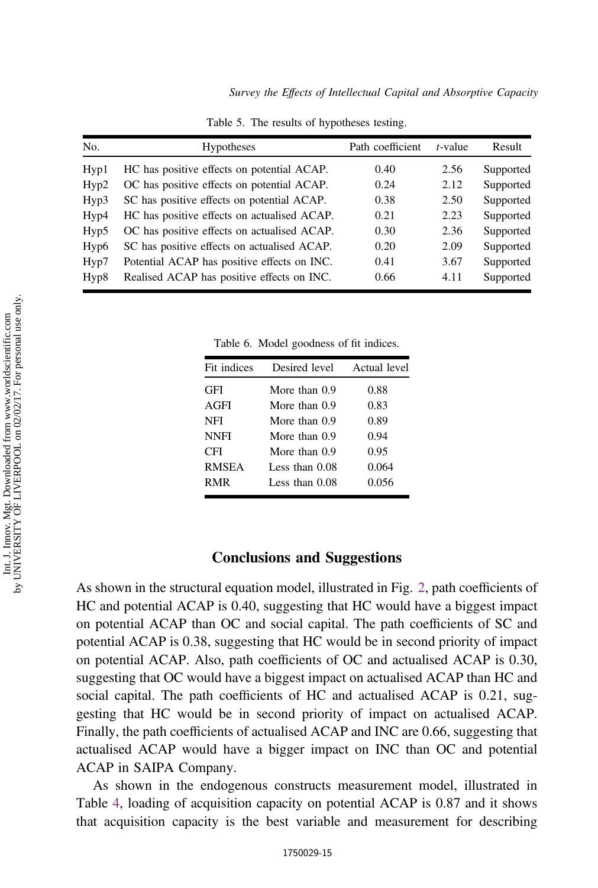<span id="page-14-0"></span>

| No.              | <b>Hypotheses</b>                           | Path coefficient | $t$ -value | Result    |
|------------------|---------------------------------------------|------------------|------------|-----------|
| Hyp1             | HC has positive effects on potential ACAP.  | 0.40             | 2.56       | Supported |
| Hyp2             | OC has positive effects on potential ACAP.  | 0.24             | 2.12       | Supported |
| Hyp3             | SC has positive effects on potential ACAP.  | 0.38             | 2.50       | Supported |
| Hyp4             | HC has positive effects on actualised ACAP. | 0.21             | 2.23       | Supported |
| Hyp5             | OC has positive effects on actualised ACAP. | 0.30             | 2.36       | Supported |
| Hyp <sub>6</sub> | SC has positive effects on actualised ACAP. | 0.20             | 2.09       | Supported |
| Hyp7             | Potential ACAP has positive effects on INC. | 0.41             | 3.67       | Supported |
| Hyp8             | Realised ACAP has positive effects on INC.  | 0.66             | 4.11       | Supported |

Table 5. The results of hypotheses testing.

Table 6. Model goodness of fit indices.

| Fit indices  | Desired level    | Actual level |
|--------------|------------------|--------------|
| GFI          | More than 0.9    | 0.88         |
| AGFI         | More than 0.9    | 0.83         |
| NFI          | More than 0.9    | 0.89         |
| <b>NNFI</b>  | More than 0.9    | 0.94         |
| CFI          | More than 0.9    | 0.95         |
| <b>RMSEA</b> | Less than $0.08$ | 0.064        |
| <b>RMR</b>   | Less than 0.08   | 0.056        |
|              |                  |              |

## Conclusions and Suggestions

As shown in the structural equation model, illustrated in Fig. [2,](#page-11-0) path coefficients of HC and potential ACAP is 0.40, suggesting that HC would have a biggest impact on potential ACAP than OC and social capital. The path coefficients of SC and potential ACAP is 0.38, suggesting that HC would be in second priority of impact on potential ACAP. Also, path coefficients of OC and actualised ACAP is 0.30, suggesting that OC would have a biggest impact on actualised ACAP than HC and social capital. The path coefficients of HC and actualised ACAP is 0.21, suggesting that HC would be in second priority of impact on actualised ACAP. Finally, the path coefficients of actualised ACAP and INC are 0.66, suggesting that actualised ACAP would have a bigger impact on INC than OC and potential ACAP in SAIPA Company.

As shown in the endogenous constructs measurement model, illustrated in Table [4](#page-13-0), loading of acquisition capacity on potential ACAP is 0.87 and it shows that acquisition capacity is the best variable and measurement for describing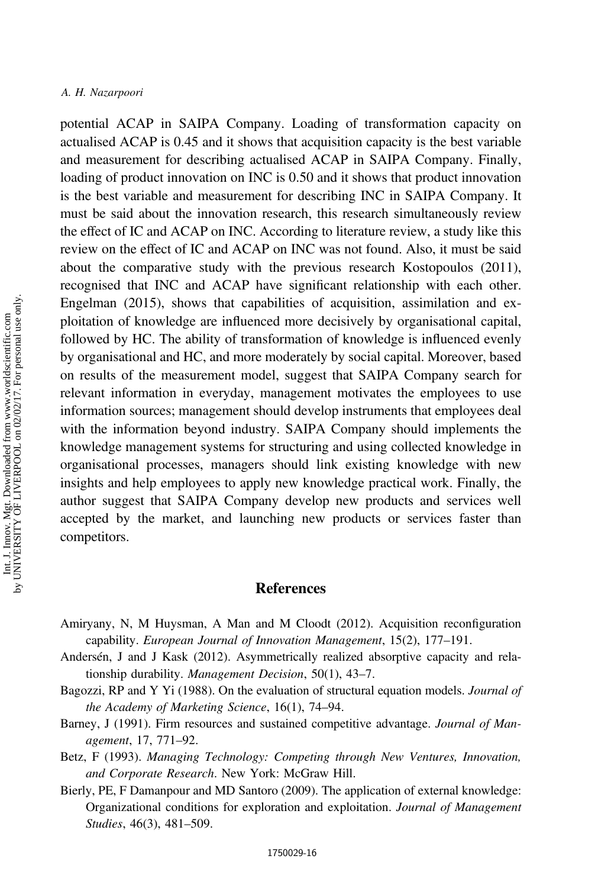<span id="page-15-0"></span>potential ACAP in SAIPA Company. Loading of transformation capacity on actualised ACAP is 0.45 and it shows that acquisition capacity is the best variable and measurement for describing actualised ACAP in SAIPA Company. Finally, loading of product innovation on INC is 0.50 and it shows that product innovation is the best variable and measurement for describing INC in SAIPA Company. It must be said about the innovation research, this research simultaneously review the effect of IC and ACAP on INC. According to literature review, a study like this review on the effect of IC and ACAP on INC was not found. Also, it must be said about the comparative study with the previous research Kostopoulos (2011), recognised that INC and ACAP have significant relationship with each other. Engelman (2015), shows that capabilities of acquisition, assimilation and exploitation of knowledge are influenced more decisively by organisational capital, followed by HC. The ability of transformation of knowledge is influenced evenly by organisational and HC, and more moderately by social capital. Moreover, based on results of the measurement model, suggest that SAIPA Company search for relevant information in everyday, management motivates the employees to use information sources; management should develop instruments that employees deal with the information beyond industry. SAIPA Company should implements the knowledge management systems for structuring and using collected knowledge in organisational processes, managers should link existing knowledge with new insights and help employees to apply new knowledge practical work. Finally, the author suggest that SAIPA Company develop new products and services well accepted by the market, and launching new products or services faster than competitors.

## **References**

- Amiryany, N, M Huysman, A Man and M Cloodt (2012). Acquisition reconfiguration capability. European Journal of Innovation Management, 15(2), 177–191.
- Andersén, J and J Kask (2012). Asymmetrically realized absorptive capacity and relationship durability. Management Decision, 50(1), 43–7.
- Bagozzi, RP and Y Yi (1988). On the evaluation of structural equation models. Journal of the Academy of Marketing Science, 16(1), 74–94.
- Barney, J (1991). Firm resources and sustained competitive advantage. *Journal of Man*agement, 17, 771–92.
- Betz, F (1993). Managing Technology: Competing through New Ventures, Innovation, and Corporate Research. New York: McGraw Hill.
- Bierly, PE, F Damanpour and MD Santoro (2009). The application of external knowledge: Organizational conditions for exploration and exploitation. Journal of Management Studies, 46(3), 481–509.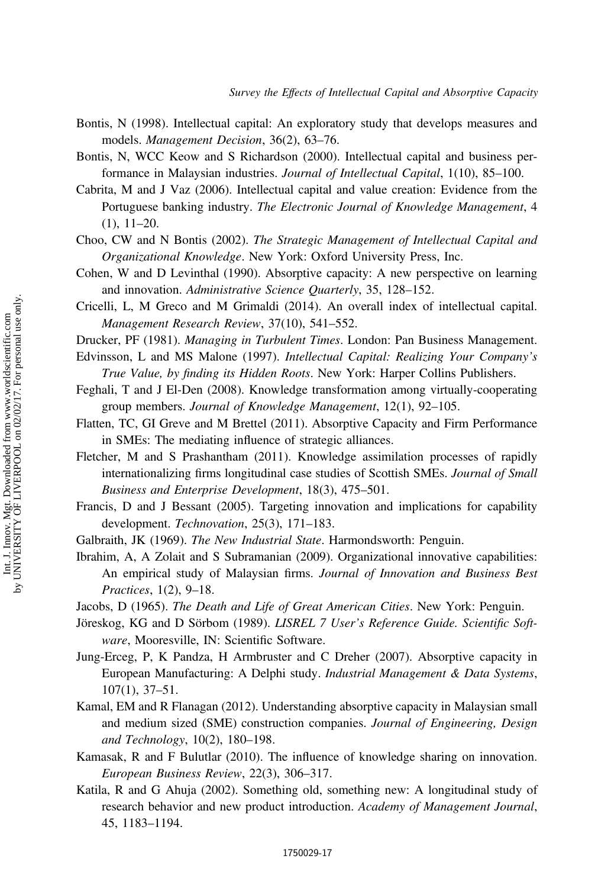- <span id="page-16-0"></span>Bontis, N (1998). Intellectual capital: An exploratory study that develops measures and models. Management Decision, 36(2), 63–76.
- Bontis, N, WCC Keow and S Richardson (2000). Intellectual capital and business performance in Malaysian industries. Journal of Intellectual Capital, 1(10), 85–100.
- Cabrita, M and J Vaz (2006). Intellectual capital and value creation: Evidence from the Portuguese banking industry. The Electronic Journal of Knowledge Management, 4 (1), 11–20.
- Choo, CW and N Bontis (2002). The Strategic Management of Intellectual Capital and Organizational Knowledge. New York: Oxford University Press, Inc.
- Cohen, W and D Levinthal (1990). Absorptive capacity: A new perspective on learning and innovation. Administrative Science Quarterly, 35, 128–152.
- Cricelli, L, M Greco and M Grimaldi (2014). An overall index of intellectual capital. Management Research Review, 37(10), 541–552.
- Drucker, PF (1981). Managing in Turbulent Times. London: Pan Business Management.
- Edvinsson, L and MS Malone (1997). Intellectual Capital: Realizing Your Company's True Value, by finding its Hidden Roots. New York: Harper Collins Publishers.
- Feghali, T and J El-Den (2008). Knowledge transformation among virtually-cooperating group members. Journal of Knowledge Management, 12(1), 92–105.
- Flatten, TC, GI Greve and M Brettel (2011). Absorptive Capacity and Firm Performance in SMEs: The mediating influence of strategic alliances.
- Fletcher, M and S Prashantham (2011). Knowledge assimilation processes of rapidly internationalizing firms longitudinal case studies of Scottish SMEs. Journal of Small Business and Enterprise Development, 18(3), 475–501.
- Francis, D and J Bessant (2005). Targeting innovation and implications for capability development. Technovation, 25(3), 171–183.
- Galbraith, JK (1969). The New Industrial State. Harmondsworth: Penguin.
- Ibrahim, A, A Zolait and S Subramanian (2009). Organizational innovative capabilities: An empirical study of Malaysian firms. Journal of Innovation and Business Best Practices, 1(2), 9–18.

Jacobs, D (1965). The Death and Life of Great American Cities. New York: Penguin.

- Jöreskog, KG and D Sörbom (1989). LISREL 7 User's Reference Guide. Scientific Software, Mooresville, IN: Scientific Software.
- Jung-Erceg, P, K Pandza, H Armbruster and C Dreher (2007). Absorptive capacity in European Manufacturing: A Delphi study. Industrial Management & Data Systems, 107(1), 37–51.
- Kamal, EM and R Flanagan (2012). Understanding absorptive capacity in Malaysian small and medium sized (SME) construction companies. Journal of Engineering, Design and Technology, 10(2), 180–198.
- Kamasak, R and F Bulutlar (2010). The influence of knowledge sharing on innovation. European Business Review, 22(3), 306–317.
- Katila, R and G Ahuja (2002). Something old, something new: A longitudinal study of research behavior and new product introduction. Academy of Management Journal, 45, 1183–1194.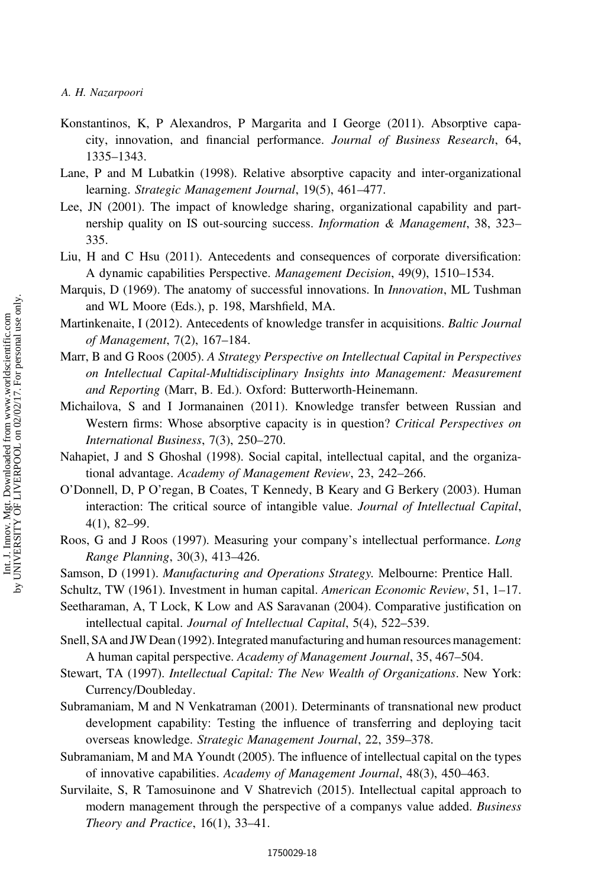- <span id="page-17-0"></span>Konstantinos, K, P Alexandros, P Margarita and I George (2011). Absorptive capacity, innovation, and financial performance. Journal of Business Research, 64, 1335–1343.
- Lane, P and M Lubatkin (1998). Relative absorptive capacity and inter-organizational learning. Strategic Management Journal, 19(5), 461–477.
- Lee, JN (2001). The impact of knowledge sharing, organizational capability and partnership quality on IS out-sourcing success. *Information & Management*, 38, 323– 335.
- Liu, H and C Hsu (2011). Antecedents and consequences of corporate diversification: A dynamic capabilities Perspective. Management Decision, 49(9), 1510–1534.
- Marquis, D (1969). The anatomy of successful innovations. In *Innovation*, ML Tushman and WL Moore (Eds.), p. 198, Marshfield, MA.
- Martinkenaite, I (2012). Antecedents of knowledge transfer in acquisitions. Baltic Journal of Management, 7(2), 167–184.
- Marr, B and G Roos (2005). A Strategy Perspective on Intellectual Capital in Perspectives on Intellectual Capital-Multidisciplinary Insights into Management: Measurement and Reporting (Marr, B. Ed.). Oxford: Butterworth-Heinemann.
- Michailova, S and I Jormanainen (2011). Knowledge transfer between Russian and Western firms: Whose absorptive capacity is in question? Critical Perspectives on International Business, 7(3), 250–270.
- Nahapiet, J and S Ghoshal (1998). Social capital, intellectual capital, and the organizational advantage. Academy of Management Review, 23, 242–266.
- O'Donnell, D, P O'regan, B Coates, T Kennedy, B Keary and G Berkery (2003). Human interaction: The critical source of intangible value. Journal of Intellectual Capital, 4(1), 82–99.
- Roos, G and J Roos (1997). Measuring your company's intellectual performance. Long Range Planning, 30(3), 413–426.
- Samson, D (1991). Manufacturing and Operations Strategy. Melbourne: Prentice Hall.
- Schultz, TW (1961). Investment in human capital. American Economic Review, 51, 1–17.
- Seetharaman, A, T Lock, K Low and AS Saravanan (2004). Comparative justification on intellectual capital. Journal of Intellectual Capital, 5(4), 522–539.
- Snell, SA and JW Dean (1992). Integrated manufacturing and human resources management: A human capital perspective. Academy of Management Journal, 35, 467–504.
- Stewart, TA (1997). Intellectual Capital: The New Wealth of Organizations. New York: Currency/Doubleday.
- Subramaniam, M and N Venkatraman (2001). Determinants of transnational new product development capability: Testing the influence of transferring and deploying tacit overseas knowledge. Strategic Management Journal, 22, 359–378.
- Subramaniam, M and MA Youndt (2005). The influence of intellectual capital on the types of innovative capabilities. Academy of Management Journal, 48(3), 450–463.
- Survilaite, S, R Tamosuinone and V Shatrevich (2015). Intellectual capital approach to modern management through the perspective of a companys value added. *Business* Theory and Practice, 16(1), 33–41.